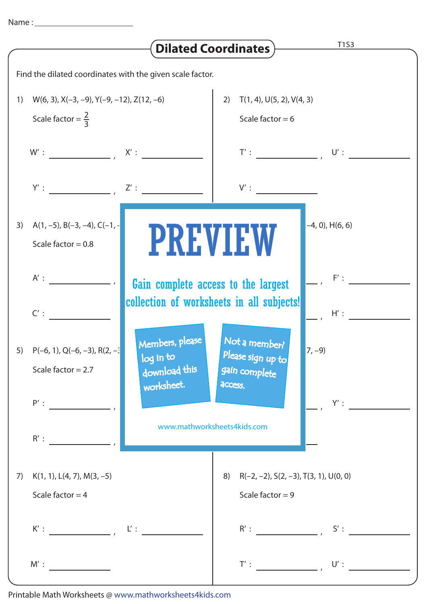|                                                           |                                                                                      |                                               | <b>Dilated Coordinates</b> )                                          | T1S3              |
|-----------------------------------------------------------|--------------------------------------------------------------------------------------|-----------------------------------------------|-----------------------------------------------------------------------|-------------------|
| Find the dilated coordinates with the given scale factor. |                                                                                      |                                               |                                                                       |                   |
| 1)                                                        | $W(6, 3)$ , $X(-3, -9)$ , $Y(-9, -12)$ , $Z(12, -6)$<br>Scale factor = $\frac{2}{3}$ |                                               | 2) $T(1, 4)$ , $U(5, 2)$ , $V(4, 3)$<br>Scale factor = $6$            |                   |
|                                                           |                                                                                      |                                               |                                                                       | $T':$ $U':$       |
|                                                           |                                                                                      |                                               | $V'$ :                                                                |                   |
| 3)                                                        | $A(1, -5), B(-3, -4), C(-1, -$<br>Scale factor = $0.8$                               | <b>PREVIEW</b>                                | $-4, 0$ , $H(6, 6)$                                                   |                   |
|                                                           | A':                                                                                  | Gain complete access to the largest           | F':<br>collection of worksheets in all subjects!                      |                   |
|                                                           | $C^{\prime}$ :                                                                       |                                               |                                                                       |                   |
|                                                           | 5) $P(-6, 1), Q(-6, -3), R(2, -3)$<br>Scale factor = $2.7$                           | Members, please<br>log in to<br>download this | Not a member?<br>Please sign up to<br>gain complete                   | $7, -9)$          |
|                                                           |                                                                                      | worksheet.                                    | access.                                                               | Y':               |
|                                                           | $R'$ :                                                                               | www.mathworksheets4kids.com                   |                                                                       |                   |
| 7)                                                        | $K(1, 1), L(4, 7), M(3, -5)$                                                         |                                               | $R(-2, -2)$ , $S(2, -3)$ , $T(3, 1)$ , $U(0, 0)$<br>8)                |                   |
|                                                           | Scale factor = $4$                                                                   |                                               | Scale factor $= 9$                                                    |                   |
|                                                           |                                                                                      |                                               |                                                                       | $R':$ $S':$ $S':$ |
|                                                           |                                                                                      |                                               | $\mathsf{T}':\underline{\hspace{2.5cm}}\qquad \qquad \qquad \qquad .$ | $U'$ :            |

Printable Math Worksheets @ www.mathworksheets4kids.com